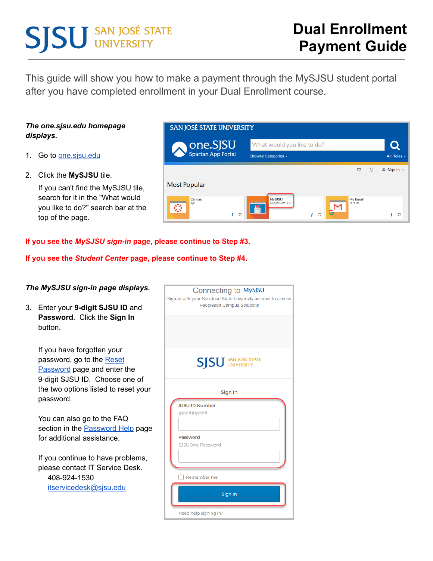# **SJSU** SAN JOSÉ STATE

This guide will show you how to make a payment through the MySJSU student portal after you have completed enrollment in your Dual Enrollment course.

### *The one.sjsu.edu homepage displays.*

- 1. Go to **one.sisu.edu**
- 2. Click the **MySJSU** tile.

If you can't find the MySJSU tile, search for it in the "What would you like to do?" search bar at the top of the page.

| <b>SAN JOSÉ STATE UNIVERSITY</b> |                                                                                               |                            |
|----------------------------------|-----------------------------------------------------------------------------------------------|----------------------------|
| <b>ONE.SJSU</b>                  | What would you like to do?                                                                    |                            |
|                                  | <b>Browse Categories +</b>                                                                    | All Roles -                |
|                                  | Ũ<br>⊠                                                                                        | $\triangle$ Sign In $\sim$ |
| Most Popular                     |                                                                                               |                            |
| Canvas<br>app<br>€<br>÷<br>O     | <b>MySJSU</b><br>My Email<br>PeopleSoft - CS<br><b>G</b> Suite<br>$\mathbf{r}$<br>h<br>÷<br>Ó | i<br>O                     |

#### **If you see the** *MySJSU sign-in* **page, please continue to Step #3.**

**If you see the** *Student Center* **page, please continue to Step #4.**

| The MySJSU sign-in page displays.                                                                                               | Connecting to MySJSU<br>Sign-in with your San Jose State University account to access |
|---------------------------------------------------------------------------------------------------------------------------------|---------------------------------------------------------------------------------------|
| 3.<br>Enter your 9-digit SJSU ID and<br>Password. Click the Sign In<br>button.                                                  | <b>Peoplesoft Campus Solutions</b>                                                    |
| If you have forgotten your<br>password, go to the Reset<br><b>Password</b> page and enter the<br>9-digit SJSU ID. Choose one of | <b>SISU</b> SAN JOSÉ STATE                                                            |
| the two options listed to reset your<br>password.                                                                               | Sign In<br>SJSU ID Number                                                             |
| You can also go to the FAQ<br>section in the <b>Password Help</b> page<br>for additional assistance.                            | #########<br>Password<br>SJSUOne Password                                             |
| If you continue to have problems,<br>please contact IT Service Desk.<br>408-924-1530<br>itservicedesk@sjsu.edu                  | Remember me<br>Sign In                                                                |

Need help signing in?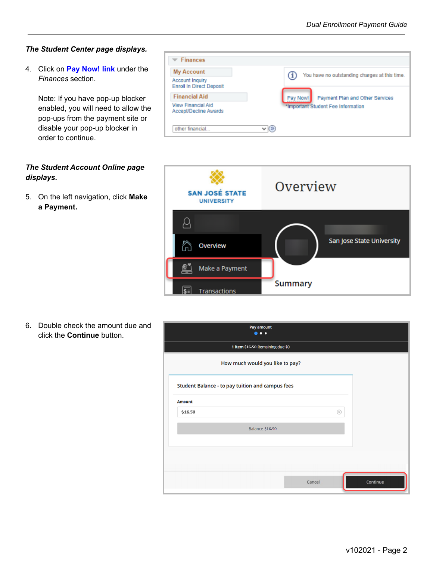#### *The Student Center page displays.*

4. Click on **Pay Now! link** under the *Finances* section.

Note: If you have pop-up blocker enabled, you will need to allow the pop-ups from the payment site or disable your pop-up blocker in order to continue.

## *The Student Account Online page displays.*

5. On the left navigation, click **Make a Payment.**

| <b>My Account</b>                                         | You have no outstanding charges at this time. |
|-----------------------------------------------------------|-----------------------------------------------|
| <b>Account Inquiry</b><br><b>Enroll In Direct Deposit</b> |                                               |
| <b>Financial Aid</b>                                      | Pay Now!<br>Payment Plan and Other Services   |
| View Financial Aid<br>Accept/Decline Awards               | *Important Student Fee Information            |



6. Double check the amount due and click the **Continue** button.

| Pay amount<br>$\bullet\bullet\bullet$                   |             |          |
|---------------------------------------------------------|-------------|----------|
| 1 item \$16.50 Remaining due \$0                        |             |          |
| How much would you like to pay?                         |             |          |
| <b>Student Balance - to pay tuition and campus fees</b> |             |          |
| <b>Amount</b>                                           |             |          |
| \$16.50                                                 | $\circledR$ |          |
| Balance \$16.50                                         |             |          |
|                                                         |             |          |
| Cancel                                                  |             | Continue |